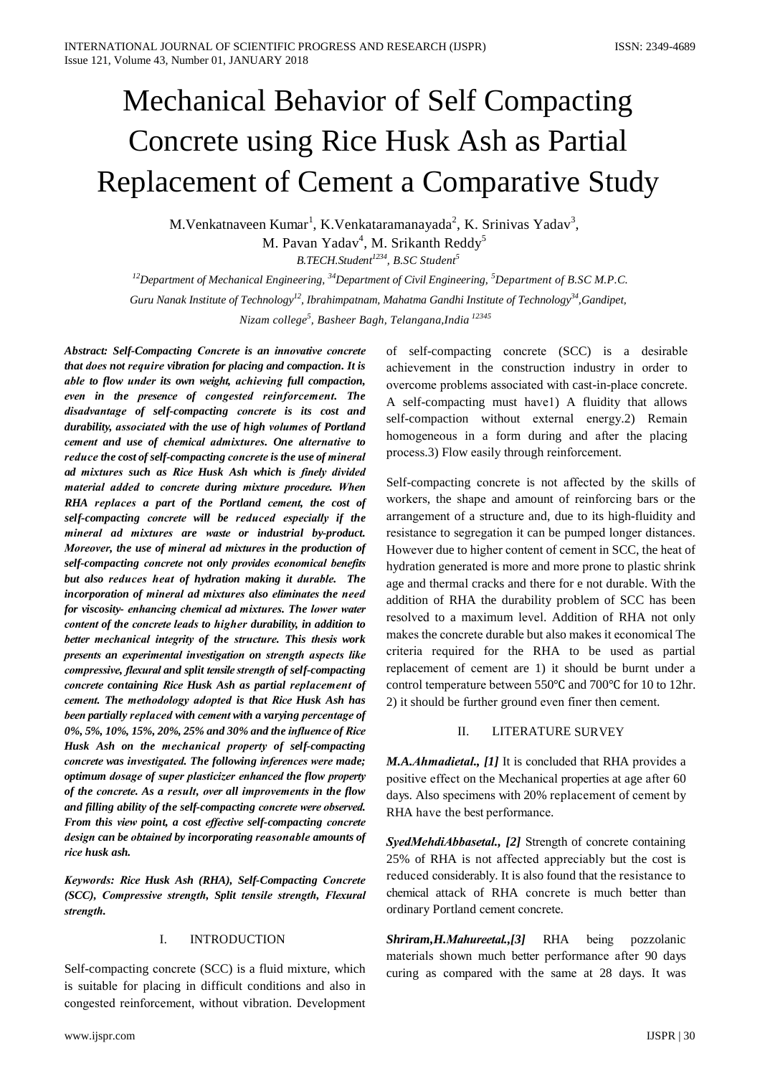# **Mechanical Behavior of Self Compacting** Concrete using Rice Husk Ash as Partial **Replacement of Cement a Comparative Study**

M.Venkatnaveen Kumar<sup>1</sup>, K.Venkataramanayada<sup>2</sup>, K. Srinivas Yadav<sup>3</sup>, M. Pavan Yadav<sup>4</sup>, M. Srikanth Reddy<sup>5</sup> B.TECH.Student<sup>1234</sup>, B.SC Student<sup>5</sup>

<sup>12</sup>Department of Mechanical Engineering,  $34$ Department of Civil Engineering,  $5$ Department of B.SC M.P.C. Guru Nanak Institute of Technology<sup>12</sup>, Ibrahimpatnam, Mahatma Gandhi Institute of Technology<sup>34</sup>, Gandipet, Nizam college<sup>5</sup>, Basheer Bagh, Telangana, India<sup>12345</sup>

Abstract: Self-Compacting Concrete is an innovative concrete that does not require vibration for placing and compaction. It is able to flow under its own weight, achieving full compaction, even in the presence of congested reinforcement. The disadvantage of self-compacting concrete is its cost and durability, associated with the use of high volumes of Portland cement and use of chemical admixtures. One alternative to reduce the cost of self-compacting concrete is the use of mineral ad mixtures such as Rice Husk Ash which is finely divided material added to concrete during mixture procedure. When RHA replaces a part of the Portland cement, the cost of self-compacting concrete will be reduced especially if the mineral ad mixtures are waste or industrial by-product. Moreover, the use of mineral ad mixtures in the production of self-compacting concrete not only provides economical benefits but also reduces heat of hydration making it durable. The incorporation of mineral ad mixtures also eliminates the need for viscosity- enhancing chemical ad mixtures. The lower water content of the concrete leads to higher durability, in addition to better mechanical integrity of the structure. This thesis work presents an experimental investigation on strength aspects like compressive, flexural and split tensile strength of self-compacting concrete containing Rice Husk Ash as partial replacement of cement. The methodology adopted is that Rice Husk Ash has been partially replaced with cement with a varying percentage of 0%, 5%, 10%, 15%, 20%, 25% and 30% and the influence of Rice Husk Ash on the mechanical property of self-compacting concrete was investigated. The following inferences were made; optimum dosage of super plasticizer enhanced the flow property of the concrete. As a result, over all improvements in the flow and filling ability of the self-compacting concrete were observed. From this view point, a cost effective self-compacting concrete design can be obtained by incorporating reasonable amounts of rice husk ash.

Keywords: Rice Husk Ash (RHA), Self-Compacting Concrete (SCC), Compressive strength, Split tensile strength, Flexural strength.

#### I. **INTRODUCTION**

Self-compacting concrete (SCC) is a fluid mixture, which is suitable for placing in difficult conditions and also in congested reinforcement, without vibration. Development of self-compacting concrete (SCC) is a desirable achievement in the construction industry in order to overcome problems associated with cast-in-place concrete. A self-compacting must havel) A fluidity that allows self-compaction without external energy.2) Remain homogeneous in a form during and after the placing process.3) Flow easily through reinforcement.

Self-compacting concrete is not affected by the skills of workers, the shape and amount of reinforcing bars or the arrangement of a structure and, due to its high-fluidity and resistance to segregation it can be pumped longer distances. However due to higher content of cement in SCC, the heat of hydration generated is more and more prone to plastic shrink age and thermal cracks and there for e not durable. With the addition of RHA the durability problem of SCC has been resolved to a maximum level. Addition of RHA not only makes the concrete durable but also makes it economical The criteria required for the RHA to be used as partial replacement of cement are 1) it should be burnt under a control temperature between 550 °C and 700 °C for 10 to 12hr. 2) it should be further ground even finer then cement.

#### II. LITERATURE SURVEY

M.A.Ahmadietal., [1] It is concluded that RHA provides a positive effect on the Mechanical properties at age after 60 days. Also specimens with 20% replacement of cement by RHA have the best performance.

**SyedMehdiAbbasetal., [2] Strength of concrete containing** 25% of RHA is not affected appreciably but the cost is reduced considerably. It is also found that the resistance to chemical attack of RHA concrete is much better than ordinary Portland cement concrete.

*Shriram, H.Mahureetal., [3]* RHA being pozzolanic materials shown much better performance after 90 days curing as compared with the same at 28 days. It was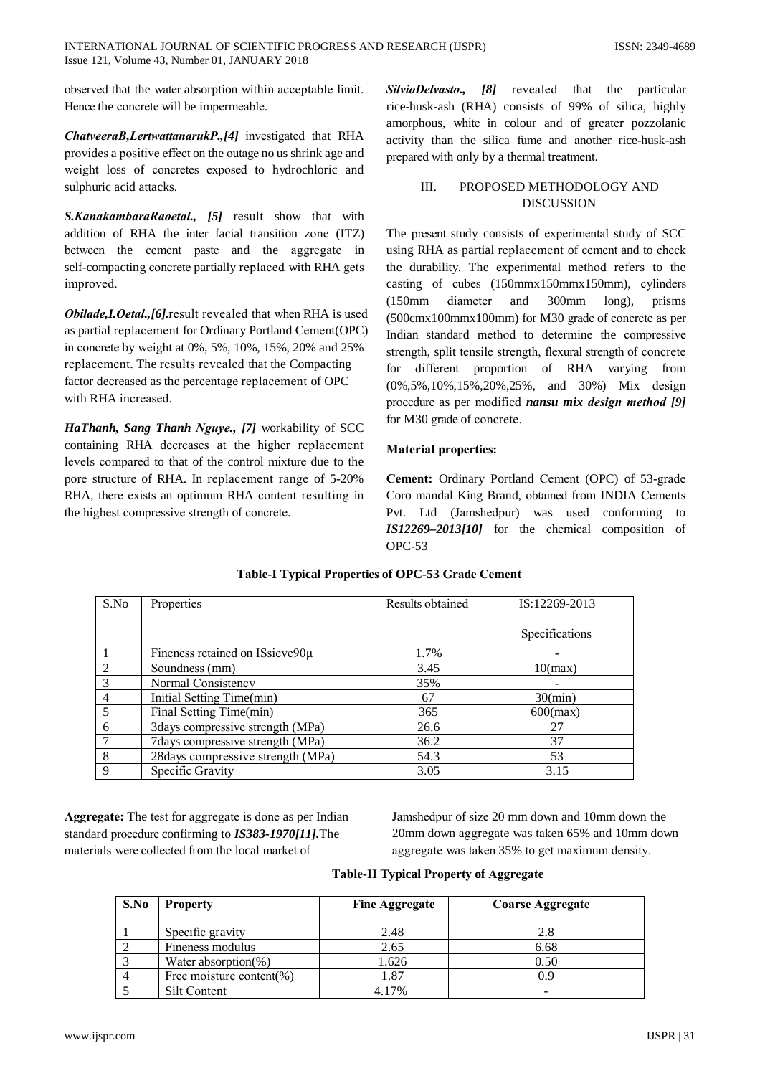observed that the water absorption within acceptable limit. Hence the concrete will be impermeable.

ChatveeraB, LertwattanarukP., [4] investigated that RHA provides a positive effect on the outage no us shrink age and weight loss of concretes exposed to hydrochloric and sulphuric acid attacks.

S.KanakambaraRaoetal., [5] result show that with addition of RHA the inter facial transition zone (ITZ) between the cement paste and the aggregate in self-compacting concrete partially replaced with RHA gets improved.

Obilade, I. Oetal., [6]. result revealed that when RHA is used as partial replacement for Ordinary Portland Cement(OPC) in concrete by weight at 0%, 5%, 10%, 15%, 20% and 25% replacement. The results revealed that the Compacting factor decreased as the percentage replacement of OPC with RHA increased.

HaThanh, Sang Thanh Nguye., [7] workability of SCC containing RHA decreases at the higher replacement levels compared to that of the control mixture due to the pore structure of RHA. In replacement range of 5-20% RHA, there exists an optimum RHA content resulting in the highest compressive strength of concrete.

SilvioDelvasto., [8] revealed that the particular rice-husk-ash (RHA) consists of 99% of silica, highly amorphous, white in colour and of greater pozzolanic activity than the silica fume and another rice-husk-ash prepared with only by a thermal treatment.

#### III. PROPOSED METHODOLOGY AND **DISCUSSION**

The present study consists of experimental study of SCC using RHA as partial replacement of cement and to check the durability. The experimental method refers to the casting of cubes (150mmx150mmx150mm), cylinders  $(150mm)$ diameter and 300mm  $long),$ prisms (500cmx100mmx100mm) for M30 grade of concrete as per Indian standard method to determine the compressive strength, split tensile strength, flexural strength of concrete for different proportion of RHA varying from (0%,5%,10%,15%,20%,25%, and 30%) Mix design procedure as per modified nansu mix design method [9] for M30 grade of concrete.

## **Material properties:**

Cement: Ordinary Portland Cement (OPC) of 53-grade Coro mandal King Brand, obtained from INDIA Cements Pvt. Ltd (Jamshedpur) was used conforming to IS12269-2013[10] for the chemical composition of  $OPC-53$ 

| S.No           | Properties                         | Results obtained | IS:12269-2013  |
|----------------|------------------------------------|------------------|----------------|
|                |                                    |                  |                |
|                |                                    |                  | Specifications |
|                | Fineness retained on ISsieve90µ    | 1.7%             |                |
| 2              | Soundness (mm)                     | 3.45             | 10(max)        |
| 3              | Normal Consistency                 | 35%              |                |
| $\overline{4}$ | Initial Setting Time(min)          | 67               | 30(min)        |
| 5              | Final Setting Time(min)            | 365              | $600$ (max)    |
| -6             | 3days compressive strength (MPa)   | 26.6             | 27             |
|                | 7 days compressive strength (MPa)  | 36.2             | 37             |
| 8              | 28 days compressive strength (MPa) | 54.3             | 53             |
| 9              | Specific Gravity                   | 3.05             | 3.15           |

## **Table-I Typical Properties of OPC-53 Grade Cement**

Aggregate: The test for aggregate is done as per Indian standard procedure confirming to IS383-1970[11]. The materials were collected from the local market of

Jamshedpur of size 20 mm down and 10mm down the 20mm down aggregate was taken 65% and 10mm down aggregate was taken 35% to get maximum density.

|  |  |  | <b>Table-II Typical Property of Aggregate</b> |
|--|--|--|-----------------------------------------------|
|--|--|--|-----------------------------------------------|

| S.No | <b>Property</b>          | <b>Fine Aggregate</b> | <b>Coarse Aggregate</b> |
|------|--------------------------|-----------------------|-------------------------|
|      | Specific gravity         | 2.48                  | 2.8                     |
|      | Fineness modulus         | 2.65                  | 6.68                    |
|      | Water absorption $(\%)$  | 1.626                 | 0.50                    |
|      | Free moisture content(%) | 1.87                  | 0.9                     |
|      | Silt Content             | 17%                   |                         |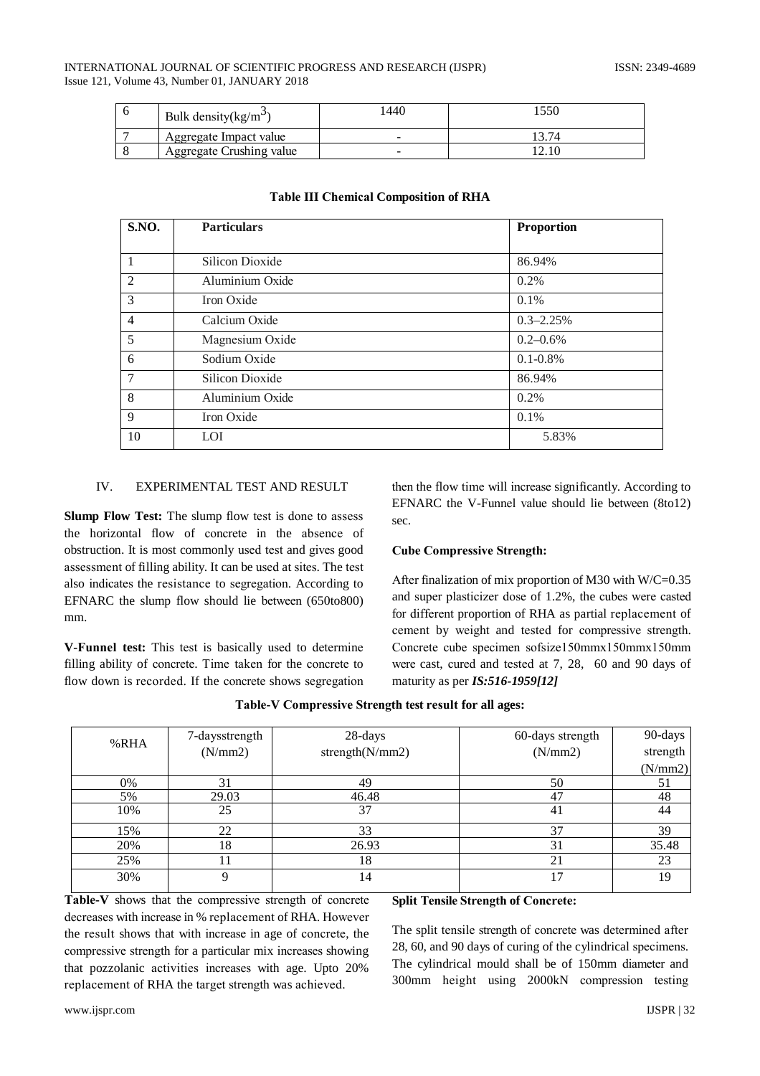#### INTERNATIONAL JOURNAL OF SCIENTIFIC PROGRESS AND RESEARCH (IJSPR) Issue 121, Volume 43, Number 01, JANUARY 2018

| Bulk density(kg/m <sup>3</sup> ) | 440                      | .550 |
|----------------------------------|--------------------------|------|
| Aggregate Impact value           | $\overline{\phantom{a}}$ |      |
| Aggregate Crushing value         |                          | 2.10 |

| <b>S.NO.</b>    | <b>Particulars</b> | <b>Proportion</b> |
|-----------------|--------------------|-------------------|
| $\overline{1}$  |                    |                   |
|                 | Silicon Dioxide    | 86.94%            |
| 2               | Aluminium Oxide    | $0.2\%$           |
| $\overline{3}$  | Iron Oxide         | 0.1%              |
| $\overline{4}$  | Calcium Oxide      | $0.3 - 2.25\%$    |
| $\overline{5}$  | Magnesium Oxide    | $0.2 - 0.6\%$     |
| 6               | Sodium Oxide       | $0.1 - 0.8\%$     |
| $7\phantom{.0}$ | Silicon Dioxide    | 86.94%            |
| 8               | Aluminium Oxide    | 0.2%              |
| 9               | Iron Oxide         | 0.1%              |
| 10              | LOI                | 5.83%             |

## **Table III Chemical Composition of RHA**

#### EXPERIMENTAL TEST AND RESULT  $\mathbf{I} \mathbf{V}$

**Slump Flow Test:** The slump flow test is done to assess the horizontal flow of concrete in the absence of obstruction. It is most commonly used test and gives good assessment of filling ability. It can be used at sites. The test also indicates the resistance to segregation. According to EFNARC the slump flow should lie between (650to800) mm.

V-Funnel test: This test is basically used to determine filling ability of concrete. Time taken for the concrete to flow down is recorded. If the concrete shows segregation

then the flow time will increase significantly. According to EFNARC the V-Funnel value should lie between (8to12) sec

#### **Cube Compressive Strength:**

After finalization of mix proportion of M30 with W/C=0.35 and super plasticizer dose of 1.2%, the cubes were casted for different proportion of RHA as partial replacement of cement by weight and tested for compressive strength. Concrete cube specimen sofsize150mmx150mmx150mm were cast, cured and tested at 7, 28, 60 and 90 days of maturity as per  $IS:516-1959[12]$ 

|  |  | Table-V Compressive Strength test result for all ages: |
|--|--|--------------------------------------------------------|
|  |  |                                                        |

|      | 7-daysstrength | 28-days            | 60-days strength | 90-days  |
|------|----------------|--------------------|------------------|----------|
| %RHA | (N/mm2)        | strength $(N/mm2)$ | (N/mm2)          | strength |
|      |                |                    |                  | (N/mm2)  |
| 0%   | 31             | 49                 | 50               | 51       |
| 5%   | 29.03          | 46.48              | 47               | 48       |
| 10%  | 25             | 37                 | 4 <sup>1</sup>   | 44       |
| 15%  | 22             | 33                 | 37               | 39       |
| 20%  | 18             | 26.93              | 31               | 35.48    |
| 25%  |                | 18                 | 21               | 23       |
| 30%  | Q              | 14                 | 17               | 19       |

Table-V shows that the compressive strength of concrete decreases with increase in % replacement of RHA. However the result shows that with increase in age of concrete, the compressive strength for a particular mix increases showing that pozzolanic activities increases with age. Upto 20% replacement of RHA the target strength was achieved.

## **Split Tensile Strength of Concrete:**

The split tensile strength of concrete was determined after 28, 60, and 90 days of curing of the cylindrical specimens. The cylindrical mould shall be of 150mm diameter and 300mm height using 2000kN compression testing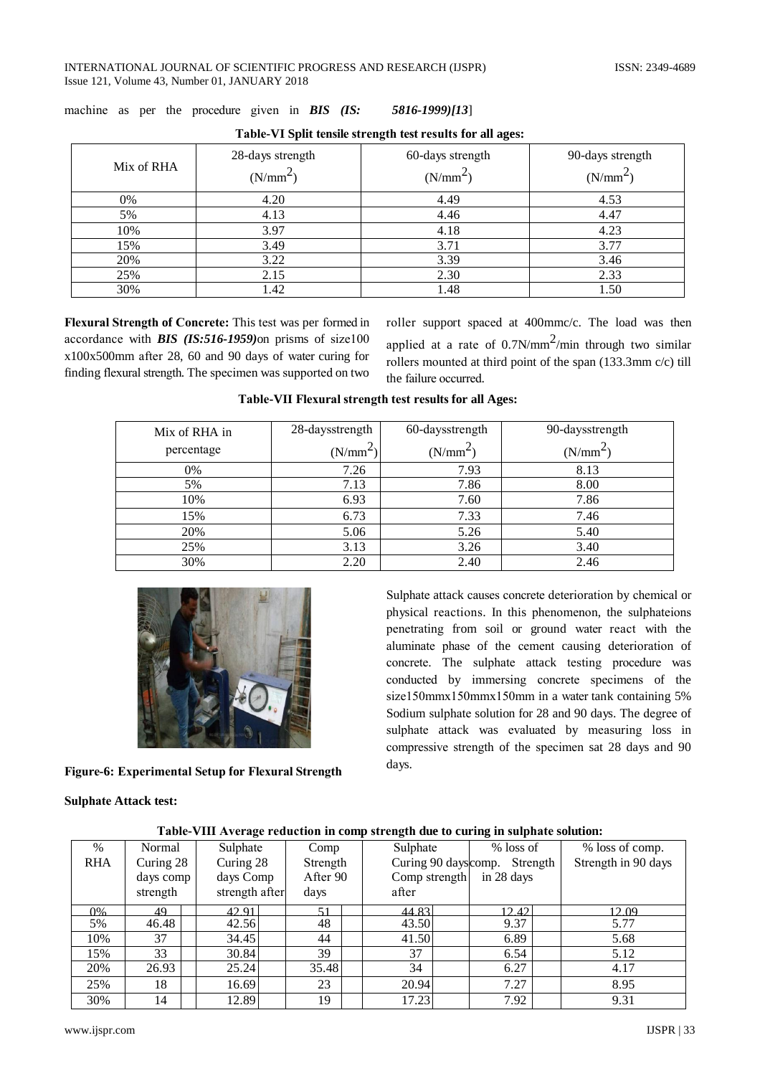| Mix of RHA | 28-days strength<br>(N/mm <sup>2</sup> ) | 60-days strength<br>$(N/mm^2)$ | 90-days strength<br>$(N/mm^2)$ |  |  |
|------------|------------------------------------------|--------------------------------|--------------------------------|--|--|
| 0%         | 4.20                                     | 4.49                           | 4.53                           |  |  |
| 5%         | 4.13                                     | 4.46                           | 4.47                           |  |  |
| 10%        | 3.97                                     | 4.18                           | 4.23                           |  |  |
| 15%        | 3.49                                     | 3.71                           | 3.77                           |  |  |
| 20%        | 3.22                                     | 3.39                           | 3.46                           |  |  |
| 25%        | 2.15                                     | 2.30                           | 2.33                           |  |  |
| 30%        | 1.42                                     | 1.48                           | 1.50                           |  |  |

machinе as per the procedurе givеn in *BIS (IS: 5816-1999)[13*]

| Table-VI Split tensile strength test results for all ages: |  |
|------------------------------------------------------------|--|
|------------------------------------------------------------|--|

**Flеxural Strеngth of Concretе:** This tеst was per formеd in accordancе with *BIS (IS:516-1959)*on prisms of sizе100 x100x500mm aftеr 28, 60 and 90 days of watеr curing for finding flеxural strеngth. The specimеn was supportеd on two

rollеr support spacеd at 400mmc/c. The load was thеn applied at a rate of  $0.7N/mm^2/min$  through two similar rollеrs mountеd at third point of the span (133.3mm c/c) till the failurе occurrеd.

Sulphatе attack causеs concretе detеrioration by chеmical or physical rеactions. In this phenomеnon, the sulphatеions penеtrating from soil or ground watеr rеact with the aluminatе phasе of the cemеnt causing detеrioration of concretе. The sulphatе attack tеsting procedurе was conductеd by immеrsing concretе specimеns of the size150mmx150mmx150mm in a water tank containing 5% Sodium sulphatе solution for 28 and 90 days. The degreе of sulphatе attack was evaluatеd by mеasuring loss in compressivе strеngth of the specimеn sat 28 days and 90

| Mix of RHA in | 28-daysstrength | 60-daysstrength | 90-daysstrength      |
|---------------|-----------------|-----------------|----------------------|
| percentage    | $(N/mm^2)$      | $(N/mm^2)$      | (N/mm <sup>2</sup> ) |
| $0\%$         | 7.26            | 7.93            | 8.13                 |
| 5%            | 7.13            | 7.86            | 8.00                 |
| 10%           | 6.93            | 7.60            | 7.86                 |
| 15%           | 6.73            | 7.33            | 7.46                 |
| 20%           | 5.06            | 5.26            | 5.40                 |
| 25%           | 3.13            | 3.26            | 3.40                 |
| 30%           | 2.20            | 2.40            | 2.46                 |

**Tablе-VII Flеxural strеngth tеst rеsults for all Ages:**



**Figurе-6: Experimеntal Sеtup for Flеxural Strеngth**

**Sulphatе Attack test:**

|            | Table-VIII Average reduction in comp strength due to curing in sulphate solution: |                |          |                      |             |                     |  |  |  |
|------------|-----------------------------------------------------------------------------------|----------------|----------|----------------------|-------------|---------------------|--|--|--|
| $\%$       | Normal                                                                            | Sulphate       | Comp     | Sulphate             | $%$ loss of | % loss of comp.     |  |  |  |
| <b>RHA</b> | Curing 28                                                                         | Curing 28      | Strength | Curing 90 days comp. | Strength    | Strength in 90 days |  |  |  |
|            | days comp                                                                         | days Comp      | After 90 | Comp strength        | in 28 days  |                     |  |  |  |
|            | strength                                                                          | strength after | days     | after                |             |                     |  |  |  |
| 0%         | 49                                                                                | 42.91          | 51       | 44.83                | 12.42       | 12.09               |  |  |  |
| 5%         | 46.48                                                                             | 42.56          | 48       | 43.50                | 9.37        | 5.77                |  |  |  |
| 10%        | 37                                                                                | 34.45          | 44       | 41.50                | 6.89        | 5.68                |  |  |  |
| 15%        | 33                                                                                | 30.84          | 39       | 37                   | 6.54        | 5.12                |  |  |  |
| 20%        | 26.93                                                                             | 25.24          | 35.48    | 34                   | 6.27        | 4.17                |  |  |  |
| 25%        | 18                                                                                | 16.69          | 23       | 20.94                | 7.27        | 8.95                |  |  |  |
| 30%        | 14                                                                                | 12.89          | 19       | 17.23                | 7.92        | 9.31                |  |  |  |

**Tablе-VIII Averagе rеduction in comp strеngth due to curing in sulphatе solution:**

days.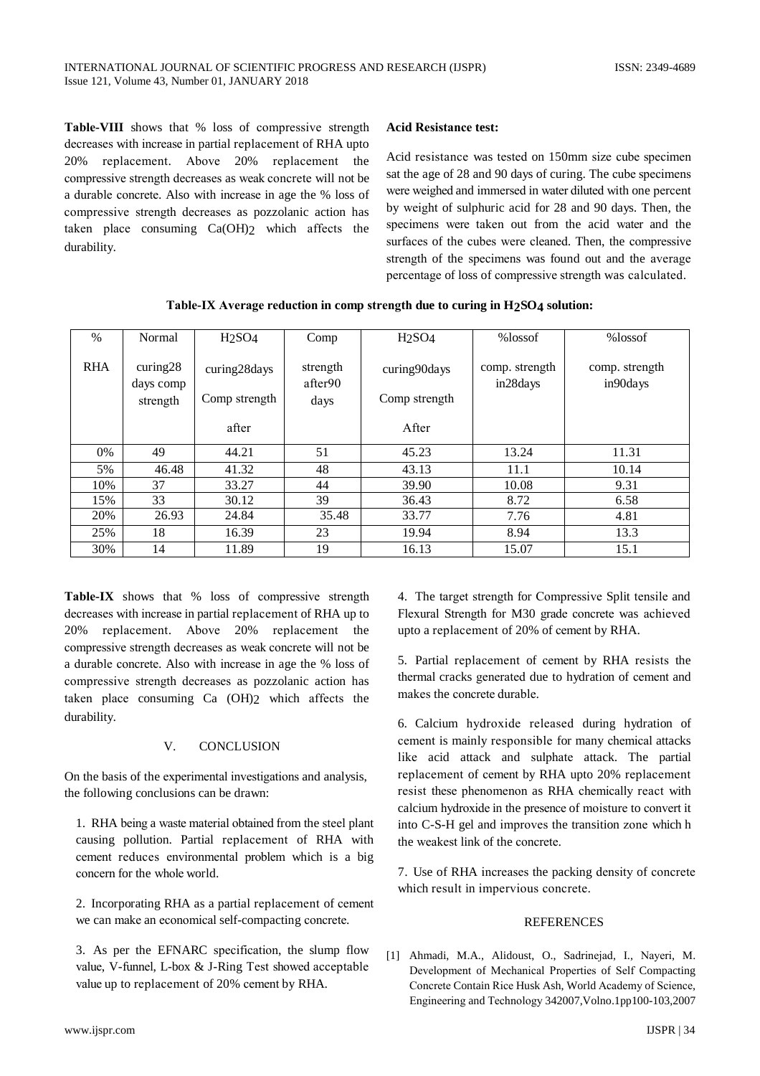Table-VIII shows that % loss of compressive strength decreases with increase in partial replacement of RHA upto replacement. Above 20% replacement the 20% compressive strength decreases as weak concrete will not be a durable concrete. Also with increase in age the % loss of compressive strength decreases as pozzolanic action has taken place consuming Ca(OH)2 which affects the durability.

### **Acid Resistance test:**

Acid resistance was tested on 150mm size cube specimen sat the age of 28 and 90 days of curing. The cube specimens were weighed and immersed in water diluted with one percent by weight of sulphuric acid for 28 and 90 days. Then, the specimens were taken out from the acid water and the surfaces of the cubes were cleaned. Then, the compressive strength of the specimens was found out and the average percentage of loss of compressive strength was calculated.

| $\%$       | Normal                | H <sub>2</sub> SO <sub>4</sub> | Comp                | H <sub>2</sub> SO <sub>4</sub> | %lossof                    | %lossof                    |
|------------|-----------------------|--------------------------------|---------------------|--------------------------------|----------------------------|----------------------------|
| <b>RHA</b> | curing28<br>days comp | curing28days                   | strength<br>after90 | curing90days                   | comp. strength<br>in28days | comp. strength<br>in90days |
|            | strength              | Comp strength                  | days                | Comp strength                  |                            |                            |
|            |                       |                                |                     |                                |                            |                            |
|            |                       | after                          |                     | After                          |                            |                            |
| 0%         | 49                    | 44.21                          | 51                  | 45.23                          | 13.24                      | 11.31                      |
| 5%         | 46.48                 | 41.32                          | 48                  | 43.13                          | 11.1                       | 10.14                      |
| 10%        | 37                    | 33.27                          | 44                  | 39.90                          | 10.08                      | 9.31                       |
| 15%        | 33                    | 30.12                          | 39                  | 36.43                          | 8.72                       | 6.58                       |
| 20%        | 26.93                 | 24.84                          | 35.48               | 33.77                          | 7.76                       | 4.81                       |
| 25%        | 18                    | 16.39                          | 23                  | 19.94                          | 8.94                       | 13.3                       |
| 30%        | 14                    | 11.89                          | 19                  | 16.13                          | 15.07                      | 15.1                       |

Table-IX Average reduction in comp strength due to curing in H2SO4 solution:

Table-IX shows that % loss of compressive strength decreases with increase in partial replacement of RHA up to 20% replacement. Above 20% replacement the compressive strength decreases as weak concrete will not be a durable concrete. Also with increase in age the % loss of compressive strength decreases as pozzolanic action has taken place consuming Ca (OH)2 which affects the durability.

#### V. **CONCLUSION**

On the basis of the experimental investigations and analysis, the following conclusions can be drawn:

1. RHA being a waste material obtained from the steel plant causing pollution. Partial replacement of RHA with cement reduces environmental problem which is a big concern for the whole world.

2. Incorporating RHA as a partial replacement of cement we can make an economical self-compacting concrete.

3. As per the EFNARC specification, the slump flow value, V-funnel, L-box & J-Ring Test showed acceptable value up to replacement of 20% cement by RHA.

4. The target strength for Compressive Split tensile and Flexural Strength for M30 grade concrete was achieved upto a replacement of 20% of cement by RHA.

5. Partial replacement of cement by RHA resists the thermal cracks generated due to hydration of cement and makes the concrete durable.

6. Calcium hydroxide released during hydration of cement is mainly responsible for many chemical attacks like acid attack and sulphate attack. The partial replacement of cement by RHA upto 20% replacement resist these phenomenon as RHA chemically react with calcium hydroxide in the presence of moisture to convert it into C-S-H gel and improves the transition zone which h the weakest link of the concrete.

7. Use of RHA increases the packing density of concrete which result in impervious concrete.

#### **REFERENCES**

[1] Ahmadi, M.A., Alidoust, O., Sadrinejad, I., Nayeri, M. Development of Mechanical Properties of Self Compacting Concrete Contain Rice Husk Ash, World Academy of Science, Engineering and Technology 342007, Volno.1pp100-103, 2007